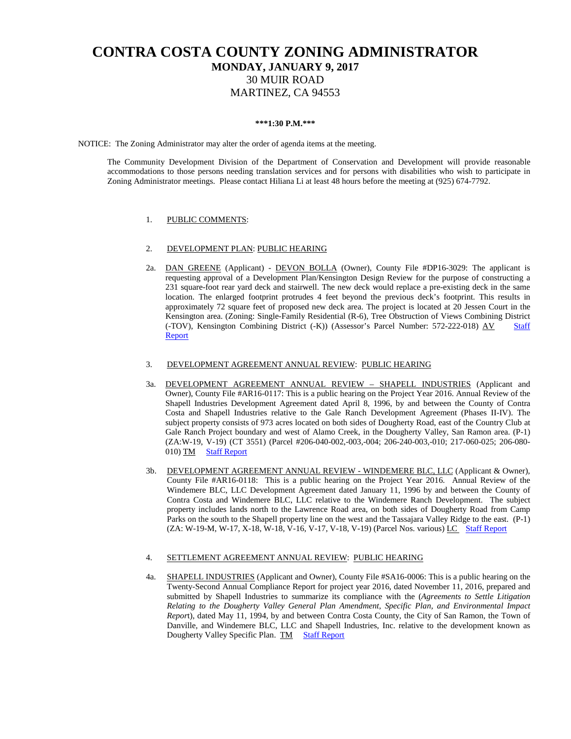# **CONTRA COSTA COUNTY ZONING ADMINISTRATOR MONDAY, JANUARY 9, 2017** 30 MUIR ROAD MARTINEZ, CA 94553

### **\*\*\*1:30 P.M.\*\*\***

NOTICE: The Zoning Administrator may alter the order of agenda items at the meeting.

The Community Development Division of the Department of Conservation and Development will provide reasonable accommodations to those persons needing translation services and for persons with disabilities who wish to participate in Zoning Administrator meetings. Please contact Hiliana Li at least 48 hours before the meeting at (925) 674-7792.

### 1. PUBLIC COMMENTS:

#### 2. DEVELOPMENT PLAN: PUBLIC HEARING

2a. DAN GREENE (Applicant) - DEVON BOLLA (Owner), County File #DP16-3029: The applicant is requesting approval of a Development Plan/Kensington Design Review for the purpose of constructing a 231 square-foot rear yard deck and stairwell. The new deck would replace a pre-existing deck in the same location. The enlarged footprint protrudes 4 feet beyond the previous deck's footprint. This results in approximately 72 square feet of proposed new deck area. The project is located at 20 Jessen Court in the Kensington area. (Zoning: Single-Family Residential (R-6), Tree Obstruction of Views Combining District (-TOV), Kensington Combining District (-K)) (Assessor's Parcel Number: 572-222-018) AV Staff [Report](https://ca-contracostacounty2.civicplus.com/DocumentCenter/View/43873)

## 3. DEVELOPMENT AGREEMENT ANNUAL REVIEW: PUBLIC HEARING

- 3a. DEVELOPMENT AGREEMENT ANNUAL REVIEW SHAPELL INDUSTRIES (Applicant and Owner), County File #AR16-0117: This is a public hearing on the Project Year 2016. Annual Review of the Shapell Industries Development Agreement dated April 8, 1996, by and between the County of Contra Costa and Shapell Industries relative to the Gale Ranch Development Agreement (Phases II-IV). The subject property consists of 973 acres located on both sides of Dougherty Road, east of the Country Club at Gale Ranch Project boundary and west of Alamo Creek, in the Dougherty Valley, San Ramon area. (P-1) (ZA:W-19, V-19) (CT 3551) (Parcel #206-040-002,-003,-004; 206-240-003,-010; 217-060-025; 206-080- 010) TM [Staff Report](https://ca-contracostacounty2.civicplus.com/DocumentCenter/View/43871)
- 3b. DEVELOPMENT AGREEMENT ANNUAL REVIEW WINDEMERE BLC, LLC (Applicant & Owner), County File #AR16-0118: This is a public hearing on the Project Year 2016. Annual Review of the Windemere BLC, LLC Development Agreement dated January 11, 1996 by and between the County of Contra Costa and Windemere BLC, LLC relative to the Windemere Ranch Development. The subject property includes lands north to the Lawrence Road area, on both sides of Dougherty Road from Camp Parks on the south to the Shapell property line on the west and the Tassajara Valley Ridge to the east. (P-1) (ZA: W-19-M, W-17, X-18, W-18, V-16, V-17, V-18, V-19) (Parcel Nos. various) LC [Staff Report](https://ca-contracostacounty2.civicplus.com/DocumentCenter/View/43872)

#### 4. SETTLEMENT AGREEMENT ANNUAL REVIEW: PUBLIC HEARING

4a. SHAPELL INDUSTRIES (Applicant and Owner), County File #SA16-0006: This is a public hearing on the Twenty-Second Annual Compliance Report for project year 2016, dated November 11, 2016, prepared and submitted by Shapell Industries to summarize its compliance with the (*Agreements to Settle Litigation Relating to the Dougherty Valley General Plan Amendment, Specific Plan, and Environmental Impact Repor*t), dated May 11, 1994, by and between Contra Costa County, the City of San Ramon, the Town of Danville, and Windemere BLC, LLC and Shapell Industries, Inc. relative to the development known as Dougherty Valley Specific Plan. TM [Staff Report](https://ca-contracostacounty2.civicplus.com/DocumentCenter/View/43874)